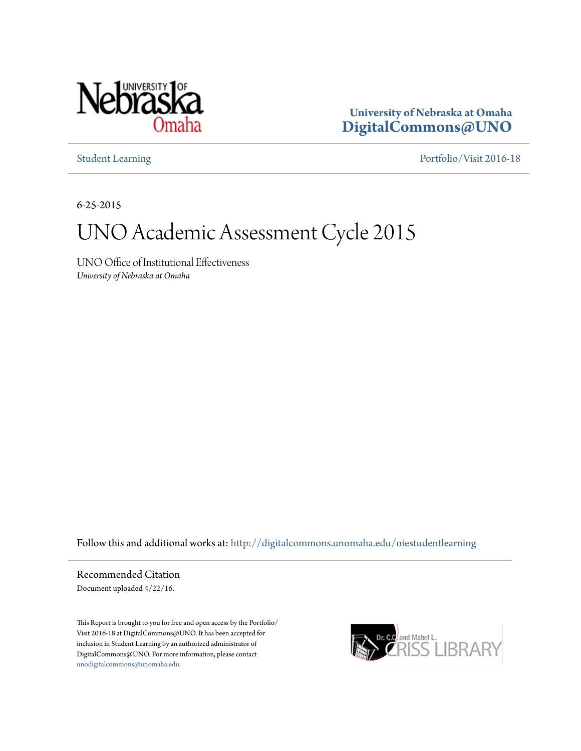

**University of Nebraska at Omaha [DigitalCommons@UNO](http://digitalcommons.unomaha.edu?utm_source=digitalcommons.unomaha.edu%2Foiestudentlearning%2F11&utm_medium=PDF&utm_campaign=PDFCoverPages)**

[Student Learning](http://digitalcommons.unomaha.edu/oiestudentlearning?utm_source=digitalcommons.unomaha.edu%2Foiestudentlearning%2F11&utm_medium=PDF&utm_campaign=PDFCoverPages) [Portfolio/Visit 2016-18](http://digitalcommons.unomaha.edu/oieportfolio?utm_source=digitalcommons.unomaha.edu%2Foiestudentlearning%2F11&utm_medium=PDF&utm_campaign=PDFCoverPages)

6-25-2015

## UNO Academic Assessment Cycle 2015

UNO Office of Institutional Effectiveness *University of Nebraska at Omaha*

Follow this and additional works at: [http://digitalcommons.unomaha.edu/oiestudentlearning](http://digitalcommons.unomaha.edu/oiestudentlearning?utm_source=digitalcommons.unomaha.edu%2Foiestudentlearning%2F11&utm_medium=PDF&utm_campaign=PDFCoverPages)

Recommended Citation Document uploaded 4/22/16.

This Report is brought to you for free and open access by the Portfolio/ Visit 2016-18 at DigitalCommons@UNO. It has been accepted for inclusion in Student Learning by an authorized administrator of DigitalCommons@UNO. For more information, please contact [unodigitalcommons@unomaha.edu](mailto:unodigitalcommons@unomaha.edu).

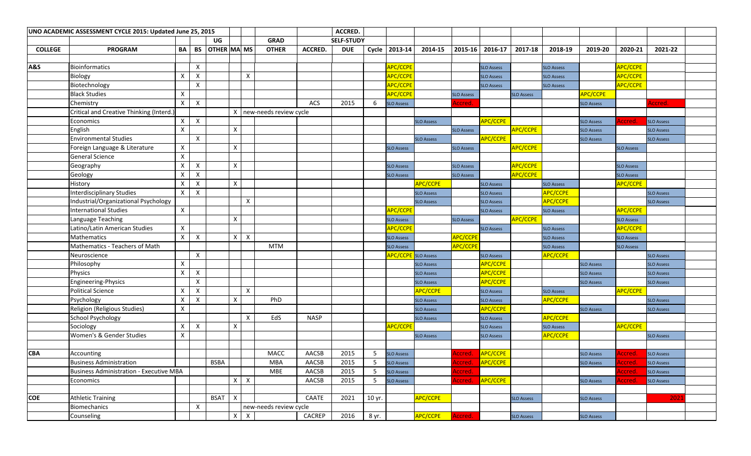|                |                                                | UNO ACADEMIC ASSESSMENT CYCLE 2015: Updated June 25, 2015 |                           |                    |   |              |                          |                |                   | ACCRED.    |                            |                       |                   |                   |                   |                   |                   |                   |                   |  |
|----------------|------------------------------------------------|-----------------------------------------------------------|---------------------------|--------------------|---|--------------|--------------------------|----------------|-------------------|------------|----------------------------|-----------------------|-------------------|-------------------|-------------------|-------------------|-------------------|-------------------|-------------------|--|
|                |                                                |                                                           |                           | UG                 |   |              | <b>GRAD</b>              |                | <b>SELF-STUDY</b> |            |                            |                       |                   |                   |                   |                   |                   |                   |                   |  |
| <b>COLLEGE</b> | <b>PROGRAM</b>                                 | BA                                                        | BS                        | <b>OTHER MA MS</b> |   |              | <b>OTHER</b>             | <b>ACCRED.</b> | <b>DUE</b>        |            | Cycle   2013-14            | 2014-15               | $2015 - 16$       | 2016-17           | 2017-18           | 2018-19           | 2019-20           | 2020-21           | 2021-22           |  |
|                |                                                |                                                           |                           |                    |   |              |                          |                |                   |            |                            |                       |                   |                   |                   |                   |                   |                   |                   |  |
| A&S            | <b>Bioinformatics</b>                          |                                                           | X                         |                    |   |              |                          |                |                   |            | APC/CCPE                   |                       |                   | <b>SLO Assess</b> |                   | <b>SLO Assess</b> |                   | APC/CCPE          |                   |  |
|                | Biology                                        | X                                                         | X                         |                    |   | X            |                          |                |                   |            | <b>APC/CCPE</b>            |                       |                   | <b>SLO Assess</b> |                   | <b>SLO Assess</b> |                   | <b>APC/CCPE</b>   |                   |  |
|                | Biotechnology                                  |                                                           | X                         |                    |   |              |                          |                |                   |            | APC/CCPE                   |                       |                   | <b>SLO Assess</b> |                   | <b>SLO Assess</b> |                   | APC/CCPE          |                   |  |
|                | <b>Black Studies</b>                           | X                                                         |                           |                    |   |              |                          |                |                   |            | <b>APC/CCPE</b>            |                       | <b>SLO Assess</b> |                   | <b>SLO Assess</b> |                   | <b>APC/CCPE</b>   |                   |                   |  |
|                | Chemistry                                      | $\mathsf{X}$                                              | $\mathsf{X}$              |                    |   |              |                          | <b>ACS</b>     | 2015              | -6         | <b>SLO Assess</b>          |                       | <u>sccred</u>     |                   |                   |                   | <b>SLO Assess</b> |                   | vccred.           |  |
|                | Critical and Creative Thinking (Interd.)       |                                                           |                           |                    |   |              | X new-needs review cycle |                |                   |            |                            |                       |                   |                   |                   |                   |                   |                   |                   |  |
|                | Economics                                      | X                                                         | $\mathsf{X}$              |                    |   |              |                          |                |                   |            |                            | <b>SLO Assess</b>     |                   | <b>APC/CCPE</b>   |                   |                   | <b>SLO Assess</b> | Accred.           | <b>SLO Assess</b> |  |
|                | English                                        | X                                                         |                           |                    | X |              |                          |                |                   |            |                            |                       | <b>SLO Assess</b> |                   | <b>APC/CCPE</b>   |                   | <b>SLO Assess</b> |                   | <b>SLO Assess</b> |  |
|                | <b>Environmental Studies</b>                   |                                                           | $\boldsymbol{\mathsf{X}}$ |                    |   |              |                          |                |                   |            |                            | <b>SLO Assess</b>     |                   | <b>APC/CCPE</b>   |                   |                   | <b>SLO Assess</b> |                   | <b>SLO Assess</b> |  |
|                | Foreign Language & Literature                  | X                                                         |                           |                    | X |              |                          |                |                   |            | <b>SLO Assess</b>          |                       | <b>SLO Assess</b> |                   | APC/CCPE          |                   |                   | <b>SLO Assess</b> |                   |  |
|                | General Science                                | X                                                         |                           |                    |   |              |                          |                |                   |            |                            |                       |                   |                   |                   |                   |                   |                   |                   |  |
|                | Geography                                      | X                                                         | $\mathsf{X}$              |                    | X |              |                          |                |                   |            | <b>SLO Assess</b>          |                       | <b>SLO Assess</b> |                   | APC/CCPE          |                   |                   | <b>SLO Assess</b> |                   |  |
|                | Geology                                        | X                                                         | $\mathsf{X}$              |                    |   |              |                          |                |                   |            | <b>SLO Assess</b>          |                       | <b>SLO Assess</b> |                   | APC/CCPE          |                   |                   | <b>SLO Assess</b> |                   |  |
|                | History                                        | X                                                         | $\boldsymbol{\mathsf{X}}$ |                    | X |              |                          |                |                   |            |                            | APC/CCPE              |                   | <b>SLO Assess</b> |                   | <b>SLO Assess</b> |                   | <b>APC/CCPE</b>   |                   |  |
|                | <b>Interdisciplinary Studies</b>               | X                                                         | $\mathsf{X}$              |                    |   |              |                          |                |                   |            |                            | <b>SLO Assess</b>     |                   | <b>SLO Assess</b> |                   | <b>APC/CCPE</b>   |                   |                   | <b>SLO Assess</b> |  |
|                | Industrial/Organizational Psychology           |                                                           |                           |                    |   | X            |                          |                |                   |            |                            | <b>SLO Assess</b>     |                   | <b>SLO Assess</b> |                   | <b>APC/CCPE</b>   |                   |                   | <b>SLO Assess</b> |  |
|                | <b>International Studies</b>                   | X                                                         |                           |                    |   |              |                          |                |                   |            | <mark>APC/CCPE</mark>      |                       |                   | <b>SLO Assess</b> |                   | <b>SLO Assess</b> |                   | <b>APC/CCPE</b>   |                   |  |
|                | Language Teaching                              |                                                           |                           |                    | X |              |                          |                |                   |            | <b>SLO Assess</b>          |                       | <b>SLO Assess</b> |                   | APC/CCPE          |                   |                   | <b>SLO Assess</b> |                   |  |
|                | Latino/Latin American Studies                  | X                                                         |                           |                    |   |              |                          |                |                   |            | <b>APC/CCPE</b>            |                       |                   | <b>SLO Assess</b> |                   | <b>SLO Assess</b> |                   | APC/CCPE          |                   |  |
|                | Mathematics                                    | X                                                         | $\mathsf{X}$              |                    | X | $\mathsf{X}$ |                          |                |                   |            | <b>SLO Assess</b>          |                       | APC/CCPE          |                   |                   | <b>SLO Assess</b> |                   | <b>SLO Assess</b> |                   |  |
|                | Mathematics - Teachers of Math                 |                                                           |                           |                    |   |              | <b>MTM</b>               |                |                   |            | <b>SLO Assess</b>          |                       | <b>APC/CCPE</b>   |                   |                   | <b>SLO Assess</b> |                   | <b>SLO Assess</b> |                   |  |
|                | Neuroscience                                   |                                                           | X                         |                    |   |              |                          |                |                   |            | <b>APC/CCPE</b> SLO Assess |                       |                   | <b>SLO Assess</b> |                   | <b>APC/CCPE</b>   |                   |                   | <b>SLO Assess</b> |  |
|                | Philosophy                                     | X                                                         |                           |                    |   |              |                          |                |                   |            |                            | <b>SLO Assess</b>     |                   | APC/CCPE          |                   |                   | <b>SLO Assess</b> |                   | <b>SLO Assess</b> |  |
|                | Physics                                        | X                                                         | $\mathsf{X}$              |                    |   |              |                          |                |                   |            |                            | <b>SLO Assess</b>     |                   | APC/CCPE          |                   |                   | <b>SLO Assess</b> |                   | <b>SLO Assess</b> |  |
|                | Engineering-Physics                            |                                                           | $\boldsymbol{\mathsf{X}}$ |                    |   |              |                          |                |                   |            |                            | <b>SLO Assess</b>     |                   | APC/CCPE          |                   |                   | <b>SLO Assess</b> |                   | <b>SLO Assess</b> |  |
|                | <b>Political Science</b>                       | X                                                         | X                         |                    |   | X            |                          |                |                   |            |                            | <b>APC/CCPE</b>       |                   | <b>SLO Assess</b> |                   | <b>SLO Assess</b> |                   | <b>APC/CCPE</b>   |                   |  |
|                | Psychology                                     | X                                                         | $\boldsymbol{\mathsf{X}}$ |                    | X |              | PhD                      |                |                   |            |                            | <b>SLO Assess</b>     |                   | <b>SLO Assess</b> |                   | <b>APC/CCPE</b>   |                   |                   | <b>SLO Assess</b> |  |
|                | Religion (Religious Studies)                   | Χ                                                         |                           |                    |   |              |                          |                |                   |            |                            | <b>SLO Assess</b>     |                   | <b>APC/CCPE</b>   |                   |                   | <b>SLO Assess</b> |                   | <b>SLO Assess</b> |  |
|                | <b>School Psychology</b>                       |                                                           |                           |                    |   | X            | EdS                      | <b>NASP</b>    |                   |            |                            | <b>SLO Assess</b>     |                   | <b>SLO Assess</b> |                   | <b>APC/CCPE</b>   |                   |                   |                   |  |
|                | Sociology                                      | Χ                                                         | $\boldsymbol{\mathsf{X}}$ |                    | Χ |              |                          |                |                   |            | <mark>APC/CCPE</mark>      |                       |                   | <b>SLO Assess</b> |                   | <b>SLO Assess</b> |                   | <b>APC/CCPE</b>   |                   |  |
|                | Women's & Gender Studies                       | X                                                         |                           |                    |   |              |                          |                |                   |            |                            | <b>SLO Assess</b>     |                   | <b>SLO Assess</b> |                   | <b>APC/CCPE</b>   |                   |                   | <b>SLO Assess</b> |  |
|                |                                                |                                                           |                           |                    |   |              |                          |                |                   |            |                            |                       |                   |                   |                   |                   |                   |                   |                   |  |
| <b>CBA</b>     | Accounting                                     |                                                           |                           |                    |   |              | <b>MACC</b>              | AACSB          | 2015              | -5         | <b>SLO Assess</b>          |                       | Accred.           | <b>APC/CCPE</b>   |                   |                   | <b>SLO Assess</b> | Accred.           | <b>SLO Assess</b> |  |
|                | <b>Business Administration</b>                 |                                                           |                           | <b>BSBA</b>        |   |              | <b>MBA</b>               | AACSB          | 2015              | $\sqrt{5}$ | <b>SLO Assess</b>          |                       | .ccred.           | <b>APC/CCPE</b>   |                   |                   | <b>SLO Assess</b> |                   | <b>SLO Assess</b> |  |
|                | <b>Business Administration - Executive MBA</b> |                                                           |                           |                    |   |              | <b>MBE</b>               | AACSB          | 2015              | 5          | <b>SLO Assess</b>          |                       | Accred.           |                   |                   |                   |                   | Accred            | <b>SLO Assess</b> |  |
|                | Economics                                      |                                                           |                           |                    |   | $X \mid X$   |                          | AACSB          | 2015              | -5         | <b>SLO Assess</b>          |                       | Accred.           | APC/CCPE          |                   |                   | <b>SLO Assess</b> | Accred.           | <b>SLO Assess</b> |  |
|                |                                                |                                                           |                           |                    |   |              |                          |                |                   |            |                            |                       |                   |                   |                   |                   |                   |                   |                   |  |
| <b>COE</b>     | <b>Athletic Training</b>                       |                                                           |                           | <b>BSAT</b>        | X |              |                          | CAATE          | 2021              | 10 yr.     |                            | APC/CCPE              |                   |                   | <b>SLO Assess</b> |                   | <b>SLO Assess</b> |                   | 202               |  |
|                | <b>Biomechanics</b>                            |                                                           | $\boldsymbol{\mathsf{X}}$ |                    |   |              | new-needs review cycle   |                |                   |            |                            |                       |                   |                   |                   |                   |                   |                   |                   |  |
|                | Counseling                                     |                                                           |                           |                    | X | $\mathsf{X}$ |                          | CACREP         | 2016              | 8 yr.      |                            | <mark>APC/CCPE</mark> | Accred.           |                   | <b>SLO Assess</b> |                   | <b>SLO Assess</b> |                   |                   |  |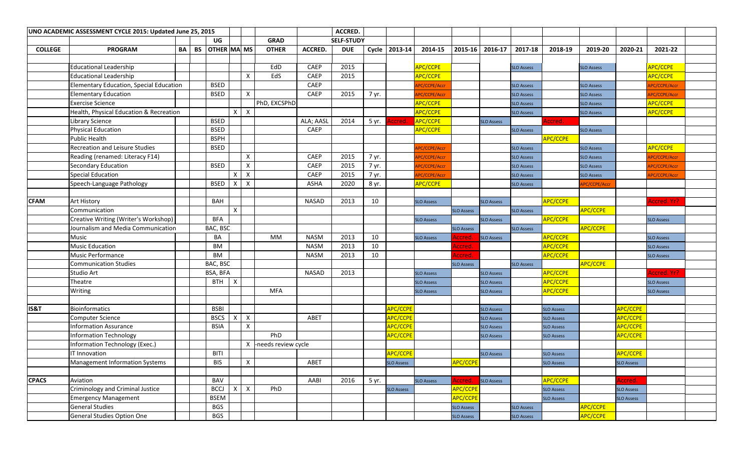| UNO ACADEMIC ASSESSMENT CYCLE 2015: Updated June 25, 2015 |                                         |    |           |                    |                           |                           | ACCRED.             |              |                   |       |                       |                   |                       |                   |                   |                   |                      |                   |                      |  |
|-----------------------------------------------------------|-----------------------------------------|----|-----------|--------------------|---------------------------|---------------------------|---------------------|--------------|-------------------|-------|-----------------------|-------------------|-----------------------|-------------------|-------------------|-------------------|----------------------|-------------------|----------------------|--|
|                                                           |                                         |    |           | UG                 |                           |                           | <b>GRAD</b>         |              | <b>SELF-STUDY</b> |       |                       |                   |                       |                   |                   |                   |                      |                   |                      |  |
| <b>COLLEGE</b>                                            | <b>PROGRAM</b>                          | BA | <b>BS</b> | <b>OTHER MA MS</b> |                           |                           | <b>OTHER</b>        | ACCRED.      | <b>DUE</b>        |       | Cycle 2013-14         | 2014-15           | $2015 - 16$           | 2016-17           | 2017-18           | 2018-19           | 2019-20              | 2020-21           | 2021-22              |  |
|                                                           |                                         |    |           |                    |                           |                           |                     |              |                   |       |                       |                   |                       |                   |                   |                   |                      |                   |                      |  |
|                                                           | <b>Educational Leadership</b>           |    |           |                    |                           |                           | EdD                 | <b>CAEP</b>  | 2015              |       |                       | APC/CCPE          |                       |                   | <b>SLO Assess</b> |                   | <b>SLO Assess</b>    |                   | APC/CCPE             |  |
|                                                           | <b>Educational Leadership</b>           |    |           |                    |                           | $\times$                  | EdS                 | <b>CAEP</b>  | 2015              |       |                       | <b>APC/CCPE</b>   |                       |                   |                   |                   |                      |                   | APC/CCPE             |  |
|                                                           | Elementary Education, Special Education |    |           | <b>BSED</b>        |                           |                           |                     | <b>CAEP</b>  |                   |       |                       | PC/CCPE/Accr      |                       |                   | <b>SLO Assess</b> |                   | <b>SLO Assess</b>    |                   | APC/CCPE/Accr        |  |
|                                                           | <b>Elementary Education</b>             |    |           | <b>BSED</b>        |                           | $\mathsf{X}$              |                     | <b>CAEP</b>  | 2015              | 7 yr. |                       | PC/CCPE/Accr      |                       |                   | <b>SLO Assess</b> |                   | <b>SLO Assess</b>    |                   | APC/CCPE/Accr        |  |
|                                                           | <b>Exercise Science</b>                 |    |           |                    |                           |                           | PhD, EXCSPhD        |              |                   |       |                       | APC/CCPE          |                       |                   | <b>SLO Assess</b> |                   | <b>SLO Assess</b>    |                   | APC/CCPE             |  |
|                                                           | Health, Physical Education & Recreation |    |           |                    | $\boldsymbol{\mathsf{X}}$ | $\mathsf{x}$              |                     |              |                   |       |                       | APC/CCPE          |                       |                   | <b>SLO Assess</b> |                   | <b>SLO Assess</b>    |                   | <b>APC/CCPE</b>      |  |
|                                                           | <b>Library Science</b>                  |    |           | <b>BSED</b>        |                           |                           |                     | ALA; AASL    | 2014              | 5 yr. | <b>Accred.</b>        | APC/CCPE          |                       | <b>SLO Assess</b> |                   | Accred.           |                      |                   |                      |  |
|                                                           | <b>Physical Education</b>               |    |           | <b>BSED</b>        |                           |                           |                     | CAEP         |                   |       |                       | APC/CCPE          |                       |                   | <b>SLO Assess</b> |                   | <b>SLO Assess</b>    |                   |                      |  |
|                                                           | <b>Public Health</b>                    |    |           | <b>BSPH</b>        |                           |                           |                     |              |                   |       |                       |                   |                       |                   |                   | <b>APC/CCPE</b>   |                      |                   |                      |  |
|                                                           | Recreation and Leisure Studies          |    |           | <b>BSED</b>        |                           |                           |                     |              |                   |       |                       | PC/CCPE/Accr      |                       |                   | <b>SLO Assess</b> |                   | <b>SLO Assess</b>    |                   | <b>APC/CCPE</b>      |  |
|                                                           | Reading (renamed: Literacy F14)         |    |           |                    |                           | $\mathsf{x}$              |                     | <b>CAEP</b>  | 2015              | 7 yr. |                       | PC/CCPE/Accr      |                       |                   | <b>SLO Assess</b> |                   | <b>SLO Assess</b>    |                   | <b>RPC/CCPE/Accr</b> |  |
|                                                           | Secondary Education                     |    |           | <b>BSED</b>        |                           | X                         |                     | <b>CAEP</b>  | 2015              | 7 yr. |                       | PC/CCPE/Accr      |                       |                   | <b>SLO Assess</b> |                   | <b>SLO Assess</b>    |                   | PC/CCPE/Accr         |  |
|                                                           | <b>Special Education</b>                |    |           |                    | X                         | $\boldsymbol{\mathsf{X}}$ |                     | <b>CAEP</b>  | 2015              | 7 yr. |                       | PC/CCPE/Accr      |                       |                   | <b>SLO Assess</b> |                   | <b>SLO Assess</b>    |                   | <b>RPC/CCPE/Accr</b> |  |
|                                                           | Speech-Language Pathology               |    |           | <b>BSED</b>        |                           | X                         |                     | ASHA         | 2020              | 8 yr. |                       | APC/CCPE          |                       |                   | <b>SLO Assess</b> |                   | <b>APC/CCPE/Acci</b> |                   |                      |  |
|                                                           |                                         |    |           |                    |                           |                           |                     |              |                   |       |                       |                   |                       |                   |                   |                   |                      |                   |                      |  |
| <b>CFAM</b>                                               | <b>Art History</b>                      |    |           | BAH                |                           |                           |                     | <b>NASAD</b> | 2013              | 10    |                       | <b>SLO Assess</b> |                       | <b>SLO Assess</b> |                   | <b>APC/CCPE</b>   |                      |                   | Accred. Yr?          |  |
|                                                           | Communication                           |    |           |                    | $\mathsf{X}$              |                           |                     |              |                   |       |                       |                   | <b>SLO Assess</b>     |                   | <b>SLO Assess</b> |                   | <b>APC/CCPE</b>      |                   |                      |  |
|                                                           | Creative Writing (Writer's Workshop)    |    |           | <b>BFA</b>         |                           |                           |                     |              |                   |       |                       | <b>SLO Assess</b> |                       | <b>SLO Assess</b> |                   | <b>APC/CCPE</b>   |                      |                   | <b>SLO Assess</b>    |  |
|                                                           | Journalism and Media Communication      |    |           | BAC, BSC           |                           |                           |                     |              |                   |       |                       |                   | <b>SLO Assess</b>     |                   | <b>SLO Assess</b> |                   | <b>APC/CCPE</b>      |                   |                      |  |
|                                                           | Music                                   |    |           | BA                 |                           |                           | <b>MM</b>           | <b>NASM</b>  | 2013              | 10    |                       | <b>SLO Assess</b> | <b>Accred</b>         | <b>SLO Assess</b> |                   | <b>APC/CCPE</b>   |                      |                   | <b>SLO Assess</b>    |  |
|                                                           | <b>Music Education</b>                  |    |           | <b>BM</b>          |                           |                           |                     | <b>NASM</b>  | 2013              | 10    |                       |                   | Accred.               |                   |                   | <b>APC/CCPE</b>   |                      |                   | <b>SLO Assess</b>    |  |
|                                                           | <b>Music Performance</b>                |    |           | <b>BM</b>          |                           |                           |                     | <b>NASM</b>  | 2013              | 10    |                       |                   | <b>Accred</b>         |                   |                   | <b>APC/CCPE</b>   |                      |                   | <b>SLO Assess</b>    |  |
|                                                           | <b>Communication Studies</b>            |    |           | BAC, BSC           |                           |                           |                     |              |                   |       |                       |                   | <b>SLO Assess</b>     |                   | <b>SLO Assess</b> |                   | <b>APC/CCPE</b>      |                   |                      |  |
|                                                           | <b>Studio Art</b>                       |    |           | BSA, BFA           |                           |                           |                     | <b>NASAD</b> | 2013              |       |                       | <b>SLO Assess</b> |                       | <b>SLO Assess</b> |                   | <b>APC/CCPE</b>   |                      |                   | Accred. Yr?          |  |
|                                                           | Theatre                                 |    |           | <b>BTH</b>         | $\mathsf{I} \mathsf{X}$   |                           |                     |              |                   |       |                       | <b>SLO Assess</b> |                       | <b>SLO Assess</b> |                   | <b>APC/CCPE</b>   |                      |                   | <b>SLO Assess</b>    |  |
|                                                           | Writing                                 |    |           |                    |                           |                           | <b>MFA</b>          |              |                   |       |                       | <b>SLO Assess</b> |                       | <b>SLO Assess</b> |                   | <b>APC/CCPE</b>   |                      |                   | <b>SLO Assess</b>    |  |
|                                                           |                                         |    |           |                    |                           |                           |                     |              |                   |       |                       |                   |                       |                   |                   |                   |                      |                   |                      |  |
| IS&T                                                      | <b>Bioinformatics</b>                   |    |           | BSBI               |                           |                           |                     |              |                   |       | <mark>APC/CCPE</mark> |                   |                       | <b>SLO Assess</b> |                   | <b>SLO Assess</b> |                      | APC/CCPE          |                      |  |
|                                                           | <b>Computer Science</b>                 |    |           | <b>BSCS</b>        | $\mathsf{x}$              | $\boldsymbol{\mathsf{X}}$ |                     | ABET         |                   |       | <mark>APC/CCPE</mark> |                   |                       | <b>SLO Assess</b> |                   | <b>SLO Assess</b> |                      | APC/CCPE          |                      |  |
|                                                           | <b>Information Assurance</b>            |    |           | <b>BSIA</b>        |                           | X                         |                     |              |                   |       | <mark>APC/CCPE</mark> |                   |                       | <b>SLO Assess</b> |                   | <b>SLO Assess</b> |                      | APC/CCPE          |                      |  |
|                                                           | <b>Information Technology</b>           |    |           |                    |                           |                           | PhD                 |              |                   |       | APC/CCPE              |                   |                       | <b>SLO Assess</b> |                   | <b>SLO Assess</b> |                      | APC/CCPE          |                      |  |
|                                                           | Information Technology (Exec.)          |    |           |                    |                           | X                         | -needs review cycle |              |                   |       |                       |                   |                       |                   |                   |                   |                      |                   |                      |  |
|                                                           | <b>IT Innovation</b>                    |    |           | <b>BITI</b>        |                           |                           |                     |              |                   |       | APC/CCPE              |                   |                       | <b>SLO Assess</b> |                   | <b>SLO Assess</b> |                      | <b>APC/CCPE</b>   |                      |  |
|                                                           | Management Information Systems          |    |           | <b>BIS</b>         |                           | $\pmb{\times}$            |                     | ABET         |                   |       | <b>SLO Assess</b>     |                   | <mark>APC/CCPE</mark> |                   |                   | <b>SLO Assess</b> |                      | <b>SLO Assess</b> |                      |  |
|                                                           |                                         |    |           |                    |                           |                           |                     |              |                   |       |                       |                   |                       |                   |                   |                   |                      |                   |                      |  |
| <b>CPACS</b>                                              | Aviation                                |    |           | BAV                |                           |                           |                     | AABI         | 2016              | 5 yr. |                       | <b>SLO Assess</b> | Accred.               | <b>SLO Assess</b> |                   | APC/CCPE          |                      | Accred.           |                      |  |
|                                                           | Criminology and Criminal Justice        |    |           | <b>BCCJ</b>        | $\boldsymbol{\mathsf{X}}$ | $\boldsymbol{\mathsf{X}}$ | PhD                 |              |                   |       | <b>SLO Assess</b>     |                   | <b>APC/CCPE</b>       |                   |                   | <b>SLO Assess</b> |                      | <b>SLO Assess</b> |                      |  |
|                                                           | <b>Emergency Management</b>             |    |           | <b>BSEM</b>        |                           |                           |                     |              |                   |       |                       |                   | APC/CCPE              |                   |                   | <b>SLO Assess</b> |                      | <b>SLO Assess</b> |                      |  |
|                                                           | <b>General Studies</b>                  |    |           | <b>BGS</b>         |                           |                           |                     |              |                   |       |                       |                   | <b>SLO Assess</b>     |                   | <b>SLO Assess</b> |                   | APC/CCPE             |                   |                      |  |
|                                                           | General Studies Option One              |    |           | <b>BGS</b>         |                           |                           |                     |              |                   |       |                       |                   | <b>SLO Assess</b>     |                   | <b>SLO Assess</b> |                   | APC/CCPE             |                   |                      |  |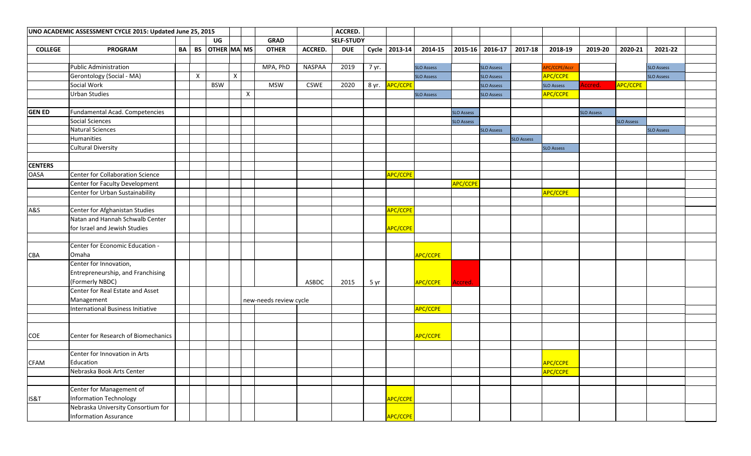| UNO ACADEMIC ASSESSMENT CYCLE 2015: Updated June 25, 2015 |                                     |    |              |                      |   |                           |                        |               |                   |       |                             |                   |                   |                   |                   |                   |                   |                   |                   |  |
|-----------------------------------------------------------|-------------------------------------|----|--------------|----------------------|---|---------------------------|------------------------|---------------|-------------------|-------|-----------------------------|-------------------|-------------------|-------------------|-------------------|-------------------|-------------------|-------------------|-------------------|--|
|                                                           |                                     |    |              | UG                   |   |                           | <b>GRAD</b>            |               | <b>SELF-STUDY</b> |       |                             |                   |                   |                   |                   |                   |                   |                   |                   |  |
| <b>COLLEGE</b>                                            | <b>PROGRAM</b>                      | BA |              | BS   OTHER   MA   MS |   |                           | <b>OTHER</b>           | ACCRED.       | <b>DUE</b>        |       | Cycle 2013-14               | 2014-15           | $ 2015-16 $       | $2016-17$         | 2017-18           | 2018-19           | 2019-20           | 2020-21           | 2021-22           |  |
|                                                           |                                     |    |              |                      |   |                           |                        |               |                   |       |                             |                   |                   |                   |                   |                   |                   |                   |                   |  |
|                                                           | <b>Public Administration</b>        |    |              |                      |   |                           | MPA, PhD               | <b>NASPAA</b> | 2019              | 7 yr. |                             | <b>SLO Assess</b> |                   | <b>SLO Assess</b> |                   | APC/CCPE/Accr     |                   |                   | <b>SLO Assess</b> |  |
|                                                           | Gerontology (Social - MA)           |    | $\mathsf{X}$ |                      | X |                           |                        |               |                   |       |                             | <b>SLO Assess</b> |                   | <b>SLO Assess</b> |                   | <b>APC/CCPE</b>   |                   |                   | <b>SLO Assess</b> |  |
|                                                           | Social Work                         |    |              | <b>BSW</b>           |   |                           | <b>MSW</b>             | <b>CSWE</b>   | 2020              |       | 8 yr. <mark>APC/CCPE</mark> |                   |                   | <b>SLO Assess</b> |                   | <b>SLO Assess</b> | Accred.           | <b>APC/CCPE</b>   |                   |  |
|                                                           | <b>Urban Studies</b>                |    |              |                      |   | $\boldsymbol{\mathsf{x}}$ |                        |               |                   |       |                             | <b>SLO Assess</b> |                   | <b>SLO Assess</b> |                   | <b>APC/CCPE</b>   |                   |                   |                   |  |
|                                                           |                                     |    |              |                      |   |                           |                        |               |                   |       |                             |                   |                   |                   |                   |                   |                   |                   |                   |  |
| <b>GEN ED</b>                                             | Fundamental Acad. Competencies      |    |              |                      |   |                           |                        |               |                   |       |                             |                   | <b>SLO Assess</b> |                   |                   |                   | <b>SLO Assess</b> |                   |                   |  |
|                                                           | <b>Social Sciences</b>              |    |              |                      |   |                           |                        |               |                   |       |                             |                   | <b>SLO Assess</b> |                   |                   |                   |                   | <b>SLO Assess</b> |                   |  |
|                                                           | <b>Natural Sciences</b>             |    |              |                      |   |                           |                        |               |                   |       |                             |                   |                   | <b>SLO Assess</b> |                   |                   |                   |                   | <b>SLO Assess</b> |  |
|                                                           | Humanities                          |    |              |                      |   |                           |                        |               |                   |       |                             |                   |                   |                   | <b>SLO Assess</b> |                   |                   |                   |                   |  |
|                                                           | <b>Cultural Diversity</b>           |    |              |                      |   |                           |                        |               |                   |       |                             |                   |                   |                   |                   | <b>SLO Assess</b> |                   |                   |                   |  |
|                                                           |                                     |    |              |                      |   |                           |                        |               |                   |       |                             |                   |                   |                   |                   |                   |                   |                   |                   |  |
| <b>CENTERS</b>                                            |                                     |    |              |                      |   |                           |                        |               |                   |       |                             |                   |                   |                   |                   |                   |                   |                   |                   |  |
| <b>OASA</b>                                               | Center for Collaboration Science    |    |              |                      |   |                           |                        |               |                   |       | <b>APC/CCPE</b>             |                   |                   |                   |                   |                   |                   |                   |                   |  |
|                                                           | Center for Faculty Development      |    |              |                      |   |                           |                        |               |                   |       |                             |                   | APC/CCPE          |                   |                   |                   |                   |                   |                   |  |
|                                                           | Center for Urban Sustainability     |    |              |                      |   |                           |                        |               |                   |       |                             |                   |                   |                   |                   | <b>APC/CCPE</b>   |                   |                   |                   |  |
|                                                           |                                     |    |              |                      |   |                           |                        |               |                   |       |                             |                   |                   |                   |                   |                   |                   |                   |                   |  |
| A&S                                                       | Center for Afghanistan Studies      |    |              |                      |   |                           |                        |               |                   |       | <b>APC/CCPE</b>             |                   |                   |                   |                   |                   |                   |                   |                   |  |
|                                                           | Natan and Hannah Schwalb Center     |    |              |                      |   |                           |                        |               |                   |       |                             |                   |                   |                   |                   |                   |                   |                   |                   |  |
|                                                           | for Israel and Jewish Studies       |    |              |                      |   |                           |                        |               |                   |       | APC/CCPE                    |                   |                   |                   |                   |                   |                   |                   |                   |  |
|                                                           |                                     |    |              |                      |   |                           |                        |               |                   |       |                             |                   |                   |                   |                   |                   |                   |                   |                   |  |
|                                                           | Center for Economic Education -     |    |              |                      |   |                           |                        |               |                   |       |                             |                   |                   |                   |                   |                   |                   |                   |                   |  |
| <b>CBA</b>                                                | Omaha                               |    |              |                      |   |                           |                        |               |                   |       |                             | <b>APC/CCPE</b>   |                   |                   |                   |                   |                   |                   |                   |  |
|                                                           | Center for Innovation,              |    |              |                      |   |                           |                        |               |                   |       |                             |                   |                   |                   |                   |                   |                   |                   |                   |  |
|                                                           | Entrepreneurship, and Franchising   |    |              |                      |   |                           |                        |               |                   |       |                             |                   |                   |                   |                   |                   |                   |                   |                   |  |
|                                                           | (Formerly NBDC)                     |    |              |                      |   |                           |                        | <b>ASBDC</b>  | 2015              | 5 yr  |                             | <b>APC/CCPE</b>   | Accred.           |                   |                   |                   |                   |                   |                   |  |
|                                                           | Center for Real Estate and Asset    |    |              |                      |   |                           |                        |               |                   |       |                             |                   |                   |                   |                   |                   |                   |                   |                   |  |
|                                                           | Management                          |    |              |                      |   |                           | new-needs review cycle |               |                   |       |                             |                   |                   |                   |                   |                   |                   |                   |                   |  |
|                                                           | International Business Initiative   |    |              |                      |   |                           |                        |               |                   |       |                             | APC/CCPE          |                   |                   |                   |                   |                   |                   |                   |  |
|                                                           |                                     |    |              |                      |   |                           |                        |               |                   |       |                             |                   |                   |                   |                   |                   |                   |                   |                   |  |
|                                                           |                                     |    |              |                      |   |                           |                        |               |                   |       |                             |                   |                   |                   |                   |                   |                   |                   |                   |  |
| <b>COE</b>                                                | Center for Research of Biomechanics |    |              |                      |   |                           |                        |               |                   |       |                             | <b>APC/CCPE</b>   |                   |                   |                   |                   |                   |                   |                   |  |
|                                                           |                                     |    |              |                      |   |                           |                        |               |                   |       |                             |                   |                   |                   |                   |                   |                   |                   |                   |  |
|                                                           | Center for Innovation in Arts       |    |              |                      |   |                           |                        |               |                   |       |                             |                   |                   |                   |                   |                   |                   |                   |                   |  |
| <b>CFAM</b>                                               | Education                           |    |              |                      |   |                           |                        |               |                   |       |                             |                   |                   |                   |                   | APC/CCPE          |                   |                   |                   |  |
|                                                           | Nebraska Book Arts Center           |    |              |                      |   |                           |                        |               |                   |       |                             |                   |                   |                   |                   | APC/CCPE          |                   |                   |                   |  |
|                                                           |                                     |    |              |                      |   |                           |                        |               |                   |       |                             |                   |                   |                   |                   |                   |                   |                   |                   |  |
|                                                           | Center for Management of            |    |              |                      |   |                           |                        |               |                   |       |                             |                   |                   |                   |                   |                   |                   |                   |                   |  |
| IS&T                                                      | <b>Information Technology</b>       |    |              |                      |   |                           |                        |               |                   |       | APC/CCPE                    |                   |                   |                   |                   |                   |                   |                   |                   |  |
|                                                           | Nebraska University Consortium for  |    |              |                      |   |                           |                        |               |                   |       |                             |                   |                   |                   |                   |                   |                   |                   |                   |  |
|                                                           |                                     |    |              |                      |   |                           |                        |               |                   |       |                             |                   |                   |                   |                   |                   |                   |                   |                   |  |
|                                                           | <b>Information Assurance</b>        |    |              |                      |   |                           |                        |               |                   |       | APC/CCPE                    |                   |                   |                   |                   |                   |                   |                   |                   |  |